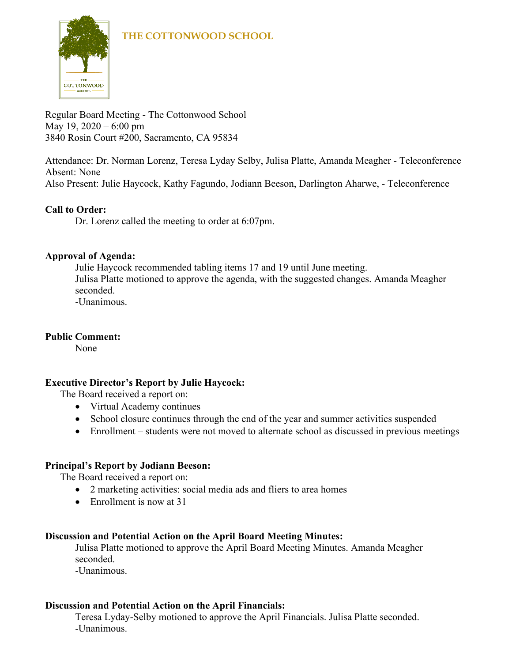

Regular Board Meeting - The Cottonwood School May 19, 2020 – 6:00 pm 3840 Rosin Court #200, Sacramento, CA 95834

Attendance: Dr. Norman Lorenz, Teresa Lyday Selby, Julisa Platte, Amanda Meagher - Teleconference Absent: None

Also Present: Julie Haycock, Kathy Fagundo, Jodiann Beeson, Darlington Aharwe, - Teleconference

## **Call to Order:**

Dr. Lorenz called the meeting to order at 6:07pm.

## **Approval of Agenda:**

Julie Haycock recommended tabling items 17 and 19 until June meeting. Julisa Platte motioned to approve the agenda, with the suggested changes. Amanda Meagher seconded.

-Unanimous.

## **Public Comment:**

None

## **Executive Director's Report by Julie Haycock:**

The Board received a report on:

- Virtual Academy continues
- School closure continues through the end of the year and summer activities suspended
- Enrollment students were not moved to alternate school as discussed in previous meetings

## **Principal's Report by Jodiann Beeson:**

The Board received a report on:

- 2 marketing activities: social media ads and fliers to area homes
- Enrollment is now at 31

## **Discussion and Potential Action on the April Board Meeting Minutes:**

Julisa Platte motioned to approve the April Board Meeting Minutes. Amanda Meagher seconded.

-Unanimous.

## **Discussion and Potential Action on the April Financials:**

Teresa Lyday-Selby motioned to approve the April Financials. Julisa Platte seconded. -Unanimous.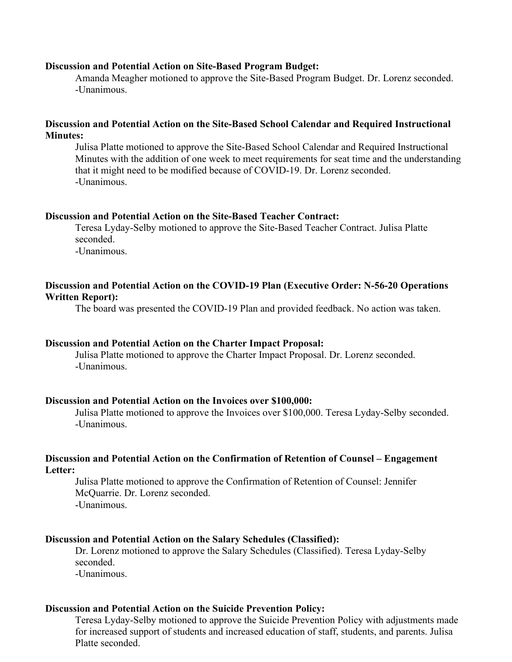#### **Discussion and Potential Action on Site-Based Program Budget:**

Amanda Meagher motioned to approve the Site-Based Program Budget. Dr. Lorenz seconded. -Unanimous.

#### **Discussion and Potential Action on the Site-Based School Calendar and Required Instructional Minutes:**

Julisa Platte motioned to approve the Site-Based School Calendar and Required Instructional Minutes with the addition of one week to meet requirements for seat time and the understanding that it might need to be modified because of COVID-19. Dr. Lorenz seconded. -Unanimous.

#### **Discussion and Potential Action on the Site-Based Teacher Contract:**

Teresa Lyday-Selby motioned to approve the Site-Based Teacher Contract. Julisa Platte seconded. -Unanimous.

#### **Discussion and Potential Action on the COVID-19 Plan (Executive Order: N-56-20 Operations Written Report):**

The board was presented the COVID-19 Plan and provided feedback. No action was taken.

#### **Discussion and Potential Action on the Charter Impact Proposal:**

Julisa Platte motioned to approve the Charter Impact Proposal. Dr. Lorenz seconded. -Unanimous.

#### **Discussion and Potential Action on the Invoices over \$100,000:**

Julisa Platte motioned to approve the Invoices over \$100,000. Teresa Lyday-Selby seconded. -Unanimous.

#### **Discussion and Potential Action on the Confirmation of Retention of Counsel – Engagement Letter:**

Julisa Platte motioned to approve the Confirmation of Retention of Counsel: Jennifer McQuarrie. Dr. Lorenz seconded. -Unanimous.

#### **Discussion and Potential Action on the Salary Schedules (Classified):**

Dr. Lorenz motioned to approve the Salary Schedules (Classified). Teresa Lyday-Selby seconded. -Unanimous.

#### **Discussion and Potential Action on the Suicide Prevention Policy:**

Teresa Lyday-Selby motioned to approve the Suicide Prevention Policy with adjustments made for increased support of students and increased education of staff, students, and parents. Julisa Platte seconded.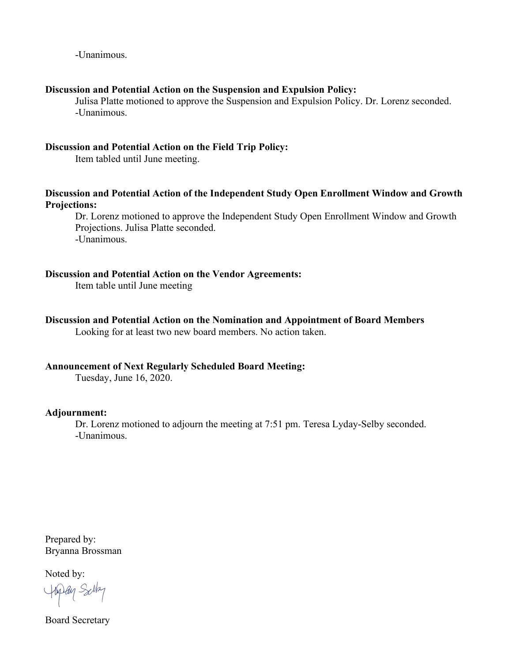-Unanimous.

#### **Discussion and Potential Action on the Suspension and Expulsion Policy:**

Julisa Platte motioned to approve the Suspension and Expulsion Policy. Dr. Lorenz seconded. -Unanimous.

#### **Discussion and Potential Action on the Field Trip Policy:**

Item tabled until June meeting.

#### **Discussion and Potential Action of the Independent Study Open Enrollment Window and Growth Projections:**

Dr. Lorenz motioned to approve the Independent Study Open Enrollment Window and Growth Projections. Julisa Platte seconded. -Unanimous.

#### **Discussion and Potential Action on the Vendor Agreements:**

Item table until June meeting

#### **Discussion and Potential Action on the Nomination and Appointment of Board Members**

Looking for at least two new board members. No action taken.

#### **Announcement of Next Regularly Scheduled Board Meeting:**

Tuesday, June 16, 2020.

#### **Adjournment:**

Dr. Lorenz motioned to adjourn the meeting at 7:51 pm. Teresa Lyday-Selby seconded. -Unanimous.

Prepared by: Bryanna Brossman

Noted by:

Hapan Sala

Board Secretary